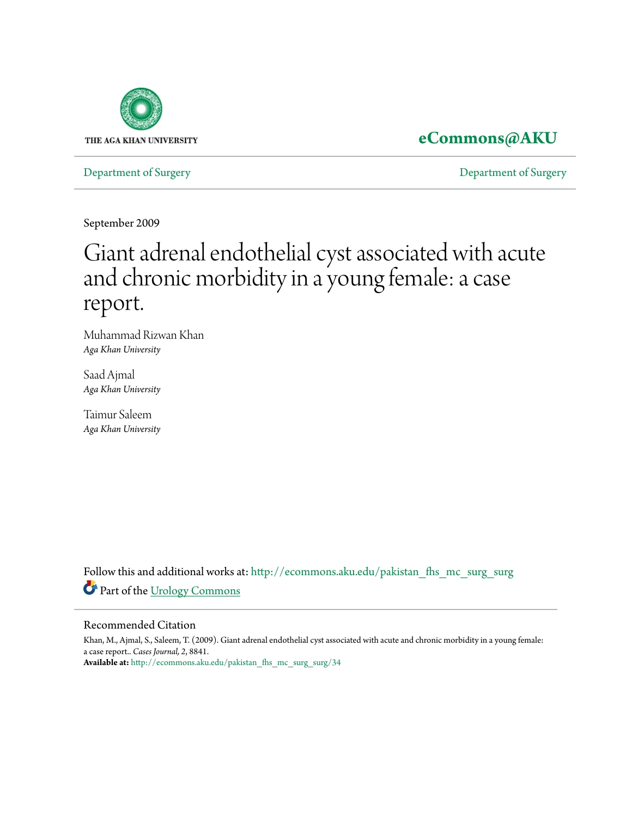

# **[eCommons@AKU](http://ecommons.aku.edu?utm_source=ecommons.aku.edu%2Fpakistan_fhs_mc_surg_surg%2F34&utm_medium=PDF&utm_campaign=PDFCoverPages)**

[Department of Surgery](http://ecommons.aku.edu/pakistan_fhs_mc_surg_surg?utm_source=ecommons.aku.edu%2Fpakistan_fhs_mc_surg_surg%2F34&utm_medium=PDF&utm_campaign=PDFCoverPages) [Department of Surgery](http://ecommons.aku.edu/pakistan_fhs_mc_surg?utm_source=ecommons.aku.edu%2Fpakistan_fhs_mc_surg_surg%2F34&utm_medium=PDF&utm_campaign=PDFCoverPages)

September 2009

# Giant adrenal endothelial cyst associated with acute and chronic morbidity in a young female: a case report.

Muhammad Rizwan Khan *Aga Khan University*

Saad Ajmal *Aga Khan University*

Taimur Saleem *Aga Khan University*

Follow this and additional works at: [http://ecommons.aku.edu/pakistan\\_fhs\\_mc\\_surg\\_surg](http://ecommons.aku.edu/pakistan_fhs_mc_surg_surg?utm_source=ecommons.aku.edu%2Fpakistan_fhs_mc_surg_surg%2F34&utm_medium=PDF&utm_campaign=PDFCoverPages) Part of the [Urology Commons](http://network.bepress.com/hgg/discipline/707?utm_source=ecommons.aku.edu%2Fpakistan_fhs_mc_surg_surg%2F34&utm_medium=PDF&utm_campaign=PDFCoverPages)

### Recommended Citation

Khan, M., Ajmal, S., Saleem, T. (2009). Giant adrenal endothelial cyst associated with acute and chronic morbidity in a young female: a case report.. *Cases Journal, 2*, 8841. **Available at:** [http://ecommons.aku.edu/pakistan\\_fhs\\_mc\\_surg\\_surg/34](http://ecommons.aku.edu/pakistan_fhs_mc_surg_surg/34)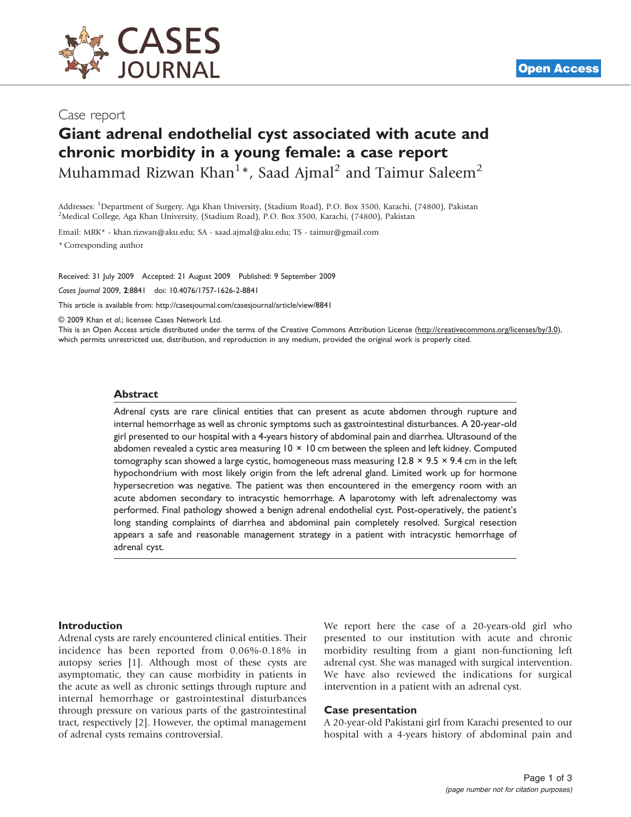

# Giant adrenal endothelial cyst associated with acute and chronic morbidity in a young female: a case report Muhammad Rizwan Khan<sup>1</sup>\*, Saad Ajmal<sup>2</sup> and Taimur Saleem<sup>2</sup>

Addresses: <sup>1</sup>Department of Surgery, Aga Khan University, (Stadium Road), P.O. Box 3500, Karachi, (74800), Pakistan<br><sup>2</sup>Medical College, Aga Khan University, (Stadium Road), P.O. Box 3500, Karachi, (74800), Pakistan <sup>2</sup>Medical College, Aga Khan University, (Stadium Road), P.O. Box 3500, Karachi, (74800), Pakistan

Email: MRK\* - [khan.rizwan@aku.edu](mailto:khan.rizwan@aku.edu); SA - [saad.ajmal@aku.edu](mailto:saad.ajmal@aku.edu); TS - [taimur@gmail.com](mailto:taimur@gmail.com)

\* Corresponding author

Received: 31 July 2009 Accepted: 21 August 2009 Published: 9 September 2009

Cases Journal 2009, 2:8841 doi: 10.4076/1757-1626-2-8841

This article is available from:<http://casesjournal.com/casesjournal/article/view/8841>

© 2009 Khan et al.; licensee Cases Network Ltd.

This is an Open Access article distributed under the terms of the Creative Commons Attribution License [\(http://creativecommons.org/licenses/by/3.0\)](http://creativecommons.org/licenses/by/3.0), which permits unrestricted use, distribution, and reproduction in any medium, provided the original work is properly cited.

#### Abstract

Adrenal cysts are rare clinical entities that can present as acute abdomen through rupture and internal hemorrhage as well as chronic symptoms such as gastrointestinal disturbances. A 20-year-old girl presented to our hospital with a 4-years history of abdominal pain and diarrhea. Ultrasound of the abdomen revealed a cystic area measuring 10 × 10 cm between the spleen and left kidney. Computed tomography scan showed a large cystic, homogeneous mass measuring  $12.8 \times 9.5 \times 9.4$  cm in the left hypochondrium with most likely origin from the left adrenal gland. Limited work up for hormone hypersecretion was negative. The patient was then encountered in the emergency room with an acute abdomen secondary to intracystic hemorrhage. A laparotomy with left adrenalectomy was performed. Final pathology showed a benign adrenal endothelial cyst. Post-operatively, the patient's long standing complaints of diarrhea and abdominal pain completely resolved. Surgical resection appears a safe and reasonable management strategy in a patient with intracystic hemorrhage of adrenal cyst.

#### Introduction

Adrenal cysts are rarely encountered clinical entities. Their incidence has been reported from 0.06%-0.18% in autopsy series [1]. Although most of these cysts are asymptomatic, they can cause morbidity in patients in the acute as well as chronic settings through rupture and internal hemorrhage or gastrointestinal disturbances through pressure on various parts of the gastrointestinal tract, respectively [2]. However, the optimal management of adrenal cysts remains controversial.

We report here the case of a 20-years-old girl who presented to our institution with acute and chronic morbidity resulting from a giant non-functioning left adrenal cyst. She was managed with surgical intervention. We have also reviewed the indications for surgical intervention in a patient with an adrenal cyst.

#### Case presentation

A 20-year-old Pakistani girl from Karachi presented to our hospital with a 4-years history of abdominal pain and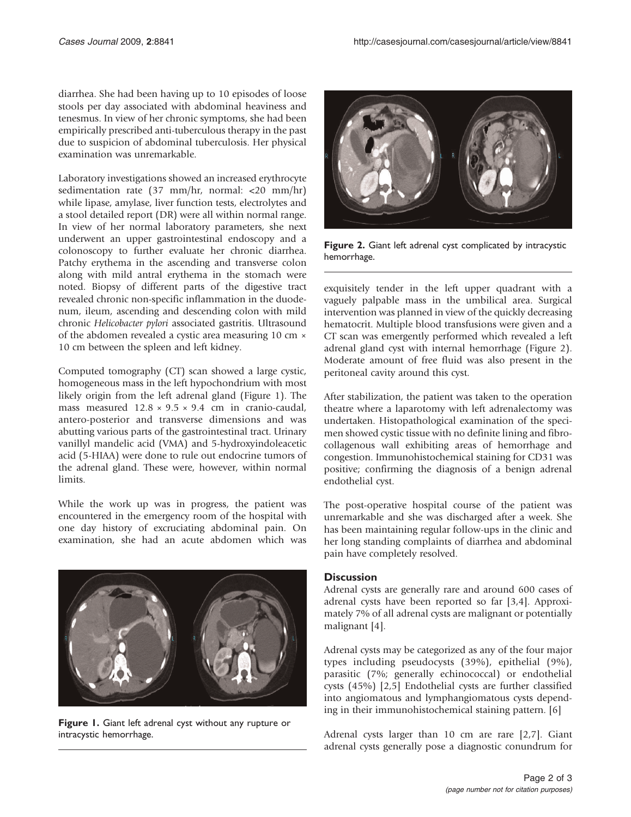diarrhea. She had been having up to 10 episodes of loose stools per day associated with abdominal heaviness and tenesmus. In view of her chronic symptoms, she had been empirically prescribed anti-tuberculous therapy in the past due to suspicion of abdominal tuberculosis. Her physical examination was unremarkable.

Laboratory investigations showed an increased erythrocyte sedimentation rate (37 mm/hr, normal: <20 mm/hr) while lipase, amylase, liver function tests, electrolytes and a stool detailed report (DR) were all within normal range. In view of her normal laboratory parameters, she next underwent an upper gastrointestinal endoscopy and a colonoscopy to further evaluate her chronic diarrhea. Patchy erythema in the ascending and transverse colon along with mild antral erythema in the stomach were noted. Biopsy of different parts of the digestive tract revealed chronic non-specific inflammation in the duodenum, ileum, ascending and descending colon with mild chronic Helicobacter pylori associated gastritis. Ultrasound of the abdomen revealed a cystic area measuring 10 cm × 10 cm between the spleen and left kidney.

Computed tomography (CT) scan showed a large cystic, homogeneous mass in the left hypochondrium with most likely origin from the left adrenal gland (Figure 1). The mass measured  $12.8 \times 9.5 \times 9.4$  cm in cranio-caudal, antero-posterior and transverse dimensions and was abutting various parts of the gastrointestinal tract. Urinary vanillyl mandelic acid (VMA) and 5-hydroxyindoleacetic acid (5-HIAA) were done to rule out endocrine tumors of the adrenal gland. These were, however, within normal limits.

While the work up was in progress, the patient was encountered in the emergency room of the hospital with one day history of excruciating abdominal pain. On examination, she had an acute abdomen which was



Figure 1. Giant left adrenal cyst without any rupture or intracystic hemorrhage.



Figure 2. Giant left adrenal cyst complicated by intracystic hemorrhage.

exquisitely tender in the left upper quadrant with a vaguely palpable mass in the umbilical area. Surgical intervention was planned in view of the quickly decreasing hematocrit. Multiple blood transfusions were given and a CT scan was emergently performed which revealed a left adrenal gland cyst with internal hemorrhage (Figure 2). Moderate amount of free fluid was also present in the peritoneal cavity around this cyst.

After stabilization, the patient was taken to the operation theatre where a laparotomy with left adrenalectomy was undertaken. Histopathological examination of the specimen showed cystic tissue with no definite lining and fibrocollagenous wall exhibiting areas of hemorrhage and congestion. Immunohistochemical staining for CD31 was positive; confirming the diagnosis of a benign adrenal endothelial cyst.

The post-operative hospital course of the patient was unremarkable and she was discharged after a week. She has been maintaining regular follow-ups in the clinic and her long standing complaints of diarrhea and abdominal pain have completely resolved.

### **Discussion**

Adrenal cysts are generally rare and around 600 cases of adrenal cysts have been reported so far [3,4]. Approximately 7% of all adrenal cysts are malignant or potentially malignant [4].

Adrenal cysts may be categorized as any of the four major types including pseudocysts (39%), epithelial (9%), parasitic (7%; generally echinococcal) or endothelial cysts (45%) [2,5] Endothelial cysts are further classified into angiomatous and lymphangiomatous cysts depending in their immunohistochemical staining pattern. [6]

Adrenal cysts larger than 10 cm are rare [2,7]. Giant adrenal cysts generally pose a diagnostic conundrum for